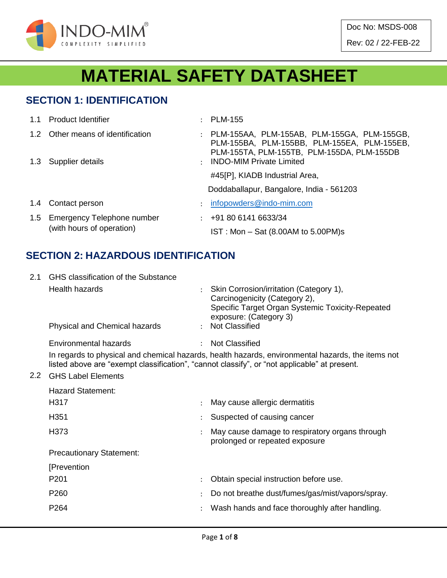

Doc No: MSDS-008 Rev: 02 / 22-FEB-22

# **MATERIAL SAFETY DATASHEET**

#### **SECTION 1: IDENTIFICATION**

|     | 1.1 Product Identifier                                  |               | : PLM-155                                                                                                                                  |
|-----|---------------------------------------------------------|---------------|--------------------------------------------------------------------------------------------------------------------------------------------|
|     | 1.2 Other means of identification                       |               | : PLM-155AA, PLM-155AB, PLM-155GA, PLM-155GB,<br>PLM-155BA, PLM-155BB, PLM-155EA, PLM-155EB,<br>PLM-155TA, PLM-155TB, PLM-155DA, PLM-155DB |
|     | 1.3 Supplier details                                    |               | : INDO-MIM Private Limited                                                                                                                 |
|     |                                                         |               | #45[P], KIADB Industrial Area,                                                                                                             |
|     |                                                         |               | Doddaballapur, Bangalore, India - 561203                                                                                                   |
|     | 1.4 Contact person                                      | $\mathcal{L}$ | infopowders@indo-mim.com                                                                                                                   |
| 1.5 | Emergency Telephone number<br>(with hours of operation) |               | $\div$ +91 80 6141 6633/34                                                                                                                 |
|     |                                                         |               | $IST: Mon - Sat (8.00AM to 5.00PM)s$                                                                                                       |

## **SECTION 2: HAZARDOUS IDENTIFICATION**

| 2.1           | GHS classification of the Substance |               |                                                                                                                                                                                                   |  |  |  |  |  |  |  |
|---------------|-------------------------------------|---------------|---------------------------------------------------------------------------------------------------------------------------------------------------------------------------------------------------|--|--|--|--|--|--|--|
|               | Health hazards                      |               | Skin Corrosion/irritation (Category 1),<br>Carcinogenicity (Category 2),<br>Specific Target Organ Systemic Toxicity-Repeated<br>exposure: (Category 3)                                            |  |  |  |  |  |  |  |
|               | Physical and Chemical hazards       |               | : Not Classified                                                                                                                                                                                  |  |  |  |  |  |  |  |
|               | Environmental hazards               | $\mathcal{L}$ | <b>Not Classified</b>                                                                                                                                                                             |  |  |  |  |  |  |  |
|               |                                     |               | In regards to physical and chemical hazards, health hazards, environmental hazards, the items not<br>listed above are "exempt classification", "cannot classify", or "not applicable" at present. |  |  |  |  |  |  |  |
| $2.2^{\circ}$ | <b>GHS Label Elements</b>           |               |                                                                                                                                                                                                   |  |  |  |  |  |  |  |
|               | <b>Hazard Statement:</b>            |               |                                                                                                                                                                                                   |  |  |  |  |  |  |  |
|               | H317                                |               | May cause allergic dermatitis                                                                                                                                                                     |  |  |  |  |  |  |  |
|               | H351                                |               | Suspected of causing cancer                                                                                                                                                                       |  |  |  |  |  |  |  |
|               | H373                                |               | May cause damage to respiratory organs through<br>prolonged or repeated exposure                                                                                                                  |  |  |  |  |  |  |  |
|               | <b>Precautionary Statement:</b>     |               |                                                                                                                                                                                                   |  |  |  |  |  |  |  |
|               | [Prevention                         |               |                                                                                                                                                                                                   |  |  |  |  |  |  |  |
|               | P <sub>201</sub>                    |               | Obtain special instruction before use.                                                                                                                                                            |  |  |  |  |  |  |  |
|               | P <sub>260</sub>                    |               | Do not breathe dust/fumes/gas/mist/vapors/spray.                                                                                                                                                  |  |  |  |  |  |  |  |
|               | P <sub>264</sub>                    |               | Wash hands and face thoroughly after handling.                                                                                                                                                    |  |  |  |  |  |  |  |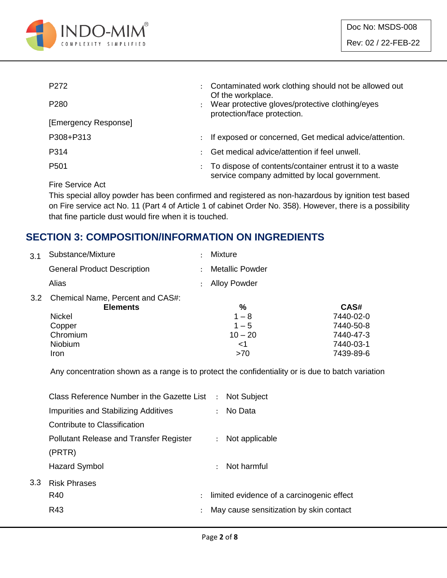

| P <sub>272</sub>     | $\ddot{\phantom{0}}$ | Contaminated work clothing should not be allowed out<br>Of the workplace.                               |  |
|----------------------|----------------------|---------------------------------------------------------------------------------------------------------|--|
| P <sub>280</sub>     |                      | Wear protective gloves/protective clothing/eyes<br>protection/face protection.                          |  |
| [Emergency Response] |                      |                                                                                                         |  |
| P308+P313            | $\ddot{\phantom{0}}$ | If exposed or concerned, Get medical advice/attention.                                                  |  |
| P314                 |                      | Get medical advice/attention if feel unwell.                                                            |  |
| P <sub>501</sub>     |                      | To dispose of contents/container entrust it to a waste<br>service company admitted by local government. |  |
|                      |                      |                                                                                                         |  |

Fire Service Act

This special alloy powder has been confirmed and registered as non-hazardous by ignition test based on Fire service act No. 11 (Part 4 of Article 1 of cabinet Order No. 358). However, there is a possibility that fine particle dust would fire when it is touched.

## **SECTION 3: COMPOSITION/INFORMATION ON INGREDIENTS**

| Substance/Mixture                                          | Mixture                |           |
|------------------------------------------------------------|------------------------|-----------|
| <b>General Product Description</b>                         | <b>Metallic Powder</b> |           |
| Alias                                                      | <b>Alloy Powder</b>    |           |
| Chemical Name, Percent and CAS#:<br>3.2<br><b>Elements</b> | %                      | CAS#      |
| <b>Nickel</b>                                              | $1 - 8$                | 7440-02-0 |
| Copper                                                     | $1 - 5$                | 7440-50-8 |
| Chromium                                                   | $10 - 20$              | 7440-47-3 |
| Niobium                                                    | <1                     | 7440-03-1 |
| Iron                                                       | >70                    | 7439-89-6 |
|                                                            |                        |           |

Any concentration shown as a range is to protect the confidentiality or is due to batch variation

|     | Class Reference Number in the Gazette List : Not Subject |                      |                                           |
|-----|----------------------------------------------------------|----------------------|-------------------------------------------|
|     | Impurities and Stabilizing Additives                     |                      | : No Data                                 |
|     | Contribute to Classification                             |                      |                                           |
|     | <b>Pollutant Release and Transfer Register</b>           |                      | : Not applicable                          |
|     | (PRTR)                                                   |                      |                                           |
|     | Hazard Symbol                                            |                      | $\therefore$ Not harmful                  |
| 3.3 | <b>Risk Phrases</b>                                      |                      |                                           |
|     | R40                                                      | $\ddot{\phantom{0}}$ | limited evidence of a carcinogenic effect |
|     | R43                                                      | $\ddot{\cdot}$       | May cause sensitization by skin contact   |
|     |                                                          |                      |                                           |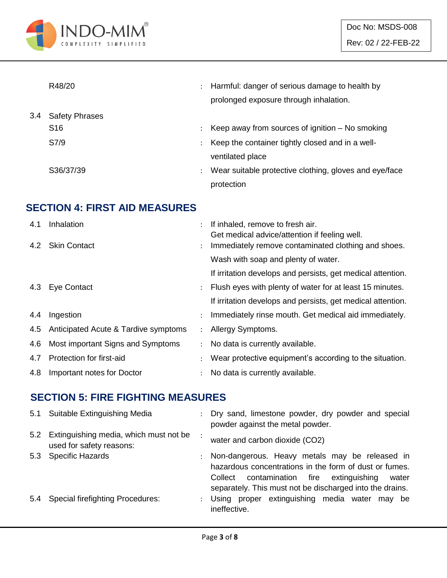

|     | R48/20                |                      | Harmful: danger of serious damage to health by         |
|-----|-----------------------|----------------------|--------------------------------------------------------|
|     |                       |                      | prolonged exposure through inhalation.                 |
| 3.4 | <b>Safety Phrases</b> |                      |                                                        |
|     | S <sub>16</sub>       |                      | Keep away from sources of ignition $-$ No smoking      |
|     | S7/9                  |                      | Keep the container tightly closed and in a well-       |
|     |                       |                      | ventilated place                                       |
|     | S36/37/39             | $\ddot{\phantom{a}}$ | Wear suitable protective clothing, gloves and eye/face |
|     |                       |                      | protection                                             |

## **SECTION 4: FIRST AID MEASURES**

| 4.1 | Inhalation                           |                      | If inhaled, remove to fresh air.<br>Get medical advice/attention if feeling well. |
|-----|--------------------------------------|----------------------|-----------------------------------------------------------------------------------|
|     | 4.2 Skin Contact                     | $\ddot{\phantom{0}}$ | Immediately remove contaminated clothing and shoes.                               |
|     |                                      |                      | Wash with soap and plenty of water.                                               |
|     |                                      |                      | If irritation develops and persists, get medical attention.                       |
|     | 4.3 Eye Contact                      | $\ddot{\phantom{0}}$ | Flush eyes with plenty of water for at least 15 minutes.                          |
|     |                                      |                      | If irritation develops and persists, get medical attention.                       |
| 4.4 | Ingestion                            | $\ddot{\phantom{0}}$ | Immediately rinse mouth. Get medical aid immediately.                             |
| 4.5 | Anticipated Acute & Tardive symptoms | $\mathcal{L}$        | Allergy Symptoms.                                                                 |
| 4.6 | Most important Signs and Symptoms    | $\ddot{\phantom{0}}$ | No data is currently available.                                                   |
| 4.7 | Protection for first-aid             |                      | Wear protective equipment's according to the situation.                           |
| 4.8 | Important notes for Doctor           |                      | No data is currently available.                                                   |

#### **SECTION 5: FIRE FIGHTING MEASURES**

|     | 5.1 Suitable Extinguishing Media                                       |               | : Dry sand, limestone powder, dry powder and special<br>powder against the metal powder.                                                                                                                                       |
|-----|------------------------------------------------------------------------|---------------|--------------------------------------------------------------------------------------------------------------------------------------------------------------------------------------------------------------------------------|
|     | 5.2 Extinguishing media, which must not be<br>used for safety reasons: |               | water and carbon dioxide (CO2)                                                                                                                                                                                                 |
|     | 5.3 Specific Hazards                                                   |               | : Non-dangerous. Heavy metals may be released in<br>hazardous concentrations in the form of dust or fumes.<br>contamination fire extinguishing<br>Collect<br>water<br>separately. This must not be discharged into the drains. |
| 5.4 | <b>Special firefighting Procedures:</b>                                | $\mathcal{L}$ | Using proper extinguishing media water may be<br>ineffective.                                                                                                                                                                  |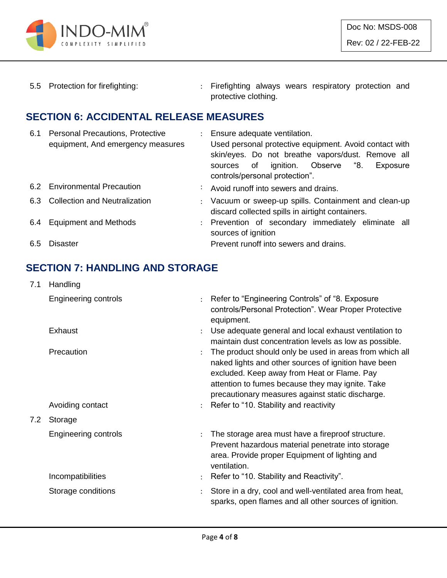

5.5 Protection for firefighting: : Firefighting always wears respiratory protection and protective clothing.

#### **SECTION 6: ACCIDENTAL RELEASE MEASURES**

| 6.1 | <b>Personal Precautions, Protective</b><br>equipment, And emergency measures | : Ensure adequate ventilation.<br>Used personal protective equipment. Avoid contact with<br>skin/eyes. Do not breathe vapors/dust. Remove all<br>ignition. Observe "8.<br>sources of<br>Exposure<br>controls/personal protection". |
|-----|------------------------------------------------------------------------------|------------------------------------------------------------------------------------------------------------------------------------------------------------------------------------------------------------------------------------|
|     | 6.2 Environmental Precaution                                                 | : Avoid runoff into sewers and drains.                                                                                                                                                                                             |
| 6.3 | <b>Collection and Neutralization</b>                                         | : Vacuum or sweep-up spills. Containment and clean-up<br>discard collected spills in airtight containers.                                                                                                                          |
|     | 6.4 Equipment and Methods                                                    | : Prevention of secondary immediately eliminate all<br>sources of ignition                                                                                                                                                         |
| 6.5 | Disaster                                                                     | Prevent runoff into sewers and drains.                                                                                                                                                                                             |

## **SECTION 7: HANDLING AND STORAGE**

| 7.1 | Handling                    |                      |                                                                                                                                                                                                                                                                        |
|-----|-----------------------------|----------------------|------------------------------------------------------------------------------------------------------------------------------------------------------------------------------------------------------------------------------------------------------------------------|
|     | <b>Engineering controls</b> | $\ddot{\cdot}$       | Refer to "Engineering Controls" of "8. Exposure<br>controls/Personal Protection". Wear Proper Protective<br>equipment.                                                                                                                                                 |
|     | Exhaust                     |                      | Use adequate general and local exhaust ventilation to<br>maintain dust concentration levels as low as possible.                                                                                                                                                        |
|     | Precaution                  |                      | The product should only be used in areas from which all<br>naked lights and other sources of ignition have been<br>excluded. Keep away from Heat or Flame. Pay<br>attention to fumes because they may ignite. Take<br>precautionary measures against static discharge. |
|     | Avoiding contact            | $\ddot{\phantom{a}}$ | Refer to "10. Stability and reactivity                                                                                                                                                                                                                                 |
| 7.2 | Storage                     |                      |                                                                                                                                                                                                                                                                        |
|     | <b>Engineering controls</b> | $\ddot{\phantom{a}}$ | The storage area must have a fireproof structure.<br>Prevent hazardous material penetrate into storage<br>area. Provide proper Equipment of lighting and<br>ventilation.                                                                                               |
|     | Incompatibilities           |                      | Refer to "10. Stability and Reactivity".                                                                                                                                                                                                                               |
|     | Storage conditions          | $\ddot{\cdot}$       | Store in a dry, cool and well-ventilated area from heat,<br>sparks, open flames and all other sources of ignition.                                                                                                                                                     |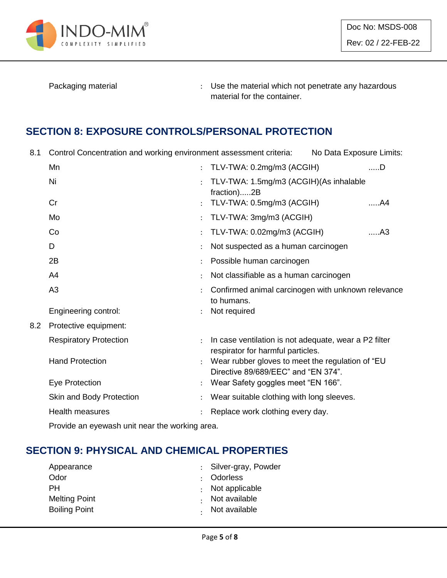

Packaging material **Packaging material in the material which not penetrate any hazardous** material for the container.

## **SECTION 8: EXPOSURE CONTROLS/PERSONAL PROTECTION**

8.1 Control Concentration and working environment assessment criteria: No Data Exposure Limits:

|     | Mn                            |                      | TLV-TWA: 0.2mg/m3 (ACGIH)                                                                  | $$ D |
|-----|-------------------------------|----------------------|--------------------------------------------------------------------------------------------|------|
|     | Ni                            |                      | TLV-TWA: 1.5mg/m3 (ACGIH)(As inhalable<br>fraction)2B                                      |      |
|     | Cr                            |                      | TLV-TWA: 0.5mg/m3 (ACGIH)                                                                  | A4   |
|     | Mo                            |                      | TLV-TWA: 3mg/m3 (ACGIH)                                                                    |      |
|     | Co                            |                      | TLV-TWA: 0.02mg/m3 (ACGIH)                                                                 | A3   |
|     | D                             |                      | Not suspected as a human carcinogen                                                        |      |
|     | 2B                            |                      | Possible human carcinogen                                                                  |      |
|     | A4                            |                      | Not classifiable as a human carcinogen                                                     |      |
|     | A <sub>3</sub>                |                      | Confirmed animal carcinogen with unknown relevance<br>to humans.                           |      |
|     | Engineering control:          |                      | Not required                                                                               |      |
| 8.2 | Protective equipment:         |                      |                                                                                            |      |
|     | <b>Respiratory Protection</b> |                      | In case ventilation is not adequate, wear a P2 filter<br>respirator for harmful particles. |      |
|     | <b>Hand Protection</b>        | $\ddot{\phantom{a}}$ | Wear rubber gloves to meet the regulation of "EU<br>Directive 89/689/EEC" and "EN 374".    |      |
|     | Eye Protection                |                      | Wear Safety goggles meet "EN 166".                                                         |      |
|     | Skin and Body Protection      |                      | Wear suitable clothing with long sleeves.                                                  |      |
|     | Health measures               |                      | Replace work clothing every day.                                                           |      |
|     |                               |                      |                                                                                            |      |

Provide an eyewash unit near the working area.

#### **SECTION 9: PHYSICAL AND CHEMICAL PROPERTIES**

| Appearance           | : Silver-gray, Powder  |
|----------------------|------------------------|
| Odor                 | : Odorless             |
| <b>PH</b>            | $\cdot$ Not applicable |
| <b>Melting Point</b> | Not available          |
| <b>Boiling Point</b> | . Not available        |
|                      |                        |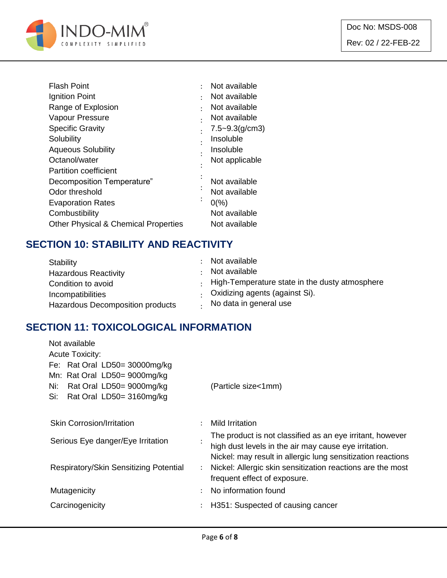

| <b>Flash Point</b>                              |         | Not available       |
|-------------------------------------------------|---------|---------------------|
| Ignition Point                                  |         | Not available       |
| Range of Explosion                              |         | Not available       |
| Vapour Pressure                                 |         | Not available       |
| <b>Specific Gravity</b>                         |         | $7.5 - 9.3$ (g/cm3) |
| Solubility                                      |         | Insoluble           |
| <b>Aqueous Solubility</b>                       |         | Insoluble           |
| Octanol/water                                   |         | Not applicable      |
| <b>Partition coefficient</b>                    |         |                     |
| Decomposition Temperature"                      |         | Not available       |
| Odor threshold                                  |         | Not available       |
| <b>Evaporation Rates</b>                        | $\cdot$ | $0\frac{9}{6}$      |
| Combustibility                                  |         | Not available       |
| <b>Other Physical &amp; Chemical Properties</b> |         | Not available       |

## **SECTION 10: STABILITY AND REACTIVITY**

| Stability                        | Not available                                          |
|----------------------------------|--------------------------------------------------------|
| <b>Hazardous Reactivity</b>      | Not available                                          |
| Condition to avoid               | $\cdot$ High-Temperature state in the dusty atmosphere |
| Incompatibilities                | Oxidizing agents (against Si).                         |
| Hazardous Decomposition products | No data in general use                                 |

## **SECTION 11: TOXICOLOGICAL INFORMATION**

| Not available                          |                      |                                                             |
|----------------------------------------|----------------------|-------------------------------------------------------------|
| <b>Acute Toxicity:</b>                 |                      |                                                             |
| Fe: Rat Oral LD50= 30000mg/kg          |                      |                                                             |
| Mn: Rat Oral LD50= 9000mg/kg           |                      |                                                             |
| Rat Oral LD50= 9000mg/kg<br>Ni:        |                      | (Particle size<1mm)                                         |
| Rat Oral LD50= 3160mg/kg<br>Si:        |                      |                                                             |
|                                        |                      |                                                             |
| <b>Skin Corrosion/Irritation</b>       | ÷                    | Mild Irritation                                             |
| Serious Eye danger/Eye Irritation      |                      | The product is not classified as an eye irritant, however   |
|                                        |                      | high dust levels in the air may cause eye irritation.       |
|                                        |                      | Nickel: may result in allergic lung sensitization reactions |
| Respiratory/Skin Sensitizing Potential | $\ddot{\phantom{0}}$ | Nickel: Allergic skin sensitization reactions are the most  |
|                                        |                      | frequent effect of exposure.                                |
| Mutagenicity                           | $\bullet$            | No information found                                        |
| Carcinogenicity                        | ÷                    | H351: Suspected of causing cancer                           |
|                                        |                      |                                                             |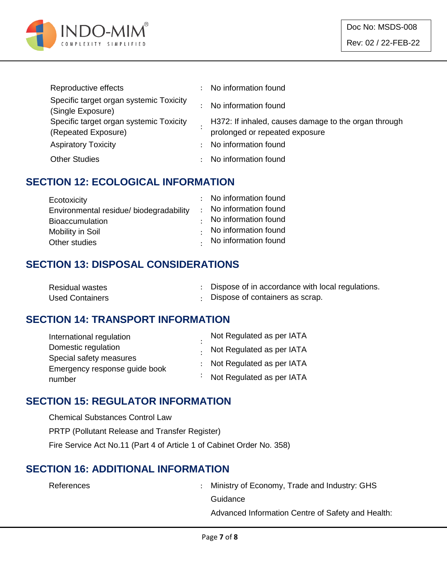

| Reproductive effects                                           |    | No information found                                                                   |
|----------------------------------------------------------------|----|----------------------------------------------------------------------------------------|
| Specific target organ systemic Toxicity<br>(Single Exposure)   |    | No information found                                                                   |
| Specific target organ systemic Toxicity<br>(Repeated Exposure) |    | H372: If inhaled, causes damage to the organ through<br>prolonged or repeated exposure |
| <b>Aspiratory Toxicity</b>                                     | ÷. | No information found                                                                   |
| <b>Other Studies</b>                                           |    | No information found                                                                   |

#### **SECTION 12: ECOLOGICAL INFORMATION**

| Ecotoxicity                            | : No information found |
|----------------------------------------|------------------------|
| Environmental residue/biodegradability | : No information found |
| <b>Bioaccumulation</b>                 | No information found   |
| Mobility in Soil                       | No information found   |
| Other studies                          | . No information found |

#### **SECTION 13: DISPOSAL CONSIDERATIONS**

| <b>Residual wastes</b> | Dispose of in accordance with local regulations. |
|------------------------|--------------------------------------------------|
| <b>Used Containers</b> | Dispose of containers as scrap.                  |

#### **SECTION 14: TRANSPORT INFORMATION**

| International regulation      | Not Regulated as per IATA   |
|-------------------------------|-----------------------------|
| Domestic regulation           | Not Regulated as per IATA   |
| Special safety measures       | : Not Regulated as per IATA |
| Emergency response guide book |                             |
| number                        | : Not Regulated as per IATA |

#### **SECTION 15: REGULATOR INFORMATION**

Chemical Substances Control Law PRTP (Pollutant Release and Transfer Register) Fire Service Act No.11 (Part 4 of Article 1 of Cabinet Order No. 358)

#### **SECTION 16: ADDITIONAL INFORMATION**

References : Ministry of Economy, Trade and Industry: GHS **Guidance** 

Advanced Information Centre of Safety and Health: